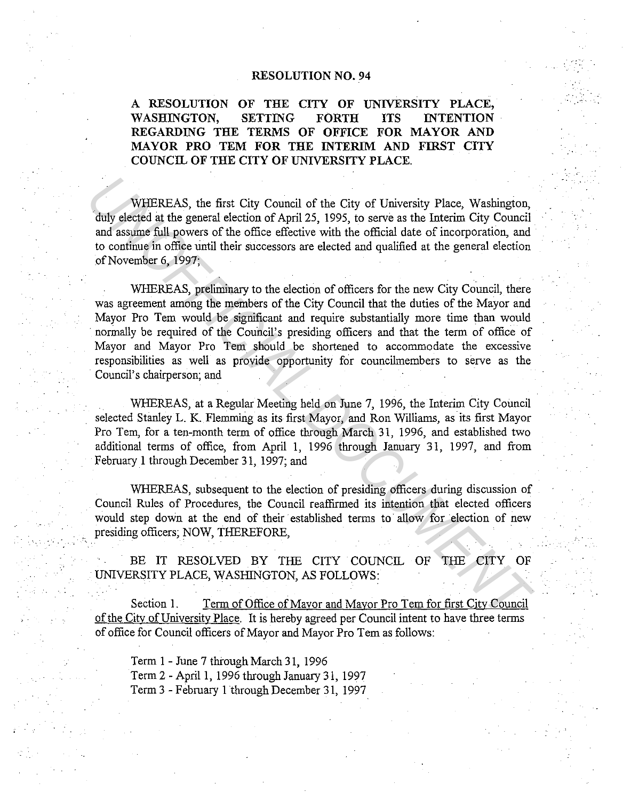## RESOLUTION NO. 94

## A RESOLUTION OF THE CITY OF UNIVERSITY PLACE, WASHINGTON, SETTING FORTH ITS INTENTION REGARDING THE TERMS OF OFFICE FOR MAYOR AND MAYOR PRO TEM FOR THE INTERIM AND FIRST CITY COUNCIL OF THE CITY OF UNIVERSITY PLACE.

WHEREAS, the first City Council of the City of University Place, Washington, duly elected at the general election of April 25, 1995, to serve as the Interim City Council and assume full powers of the office effective with the official date of incorporation, and to continue in office until their successors are elected and qualified at the general election of November 6, 1997;

WHEREAS, preliminary to the election of officers for the new City Council, there was agreement among the members of the City Council that the duties of the Mayor and Mayor Pro Tem would be significant and require substantially more time than would normally be required of the Council's presiding officers and that the term of office of Mayor and Mayor Pro Tem should be shortened to accommodate the excessive responsibilities as well as provide opportunity for councilmembers to serve as the Council's chairperson; and **WHEREAS**, the first City Council of the City of University Place, Washington, duly elected at the general election of April 25, 1995, to serve as the Interim City Council and assume full powers of the office effective wit

WHEREAS, at a Regular Meeting held on June 7, 1996, the Interim City Council selected Stanley L. K. Flemming as its first Mayor, and Ron Williams, as its first Mayor Pro Tem, for a ten-month term of office through March 31, 1996, and established two additional terms of office, from April 1, 1996 through January 31, 1997, and from February 1 through December 31, 1997; and

WHEREAS, subsequent to the election of presiding officers during discussion of Council Rules of Procedures, the Council reaffirmed its intention that elected officers would step down at the end of their established terms to allow for election of new presiding officers; NOW, THEREFORE,

BE IT RESOLVED BY THE CITY COUNCIL OF THE CITY OF UNIVERSITY PLACE, WASHINGTON, AS FOLLOWS:

Section 1. Term of Office of Mayor and Mayor Pro Tem for first City Council of the Citv of University Place. It is hereby agreed per Council intent to have three terms of office for Council officers of Mayor and Mayor Pro Tem as follows:

Term 1 - June 7 through March 31, 1996 Term 2 -April 1, 1996 through January 31, 1997 Term 3 - February 1 through December 31, 1997